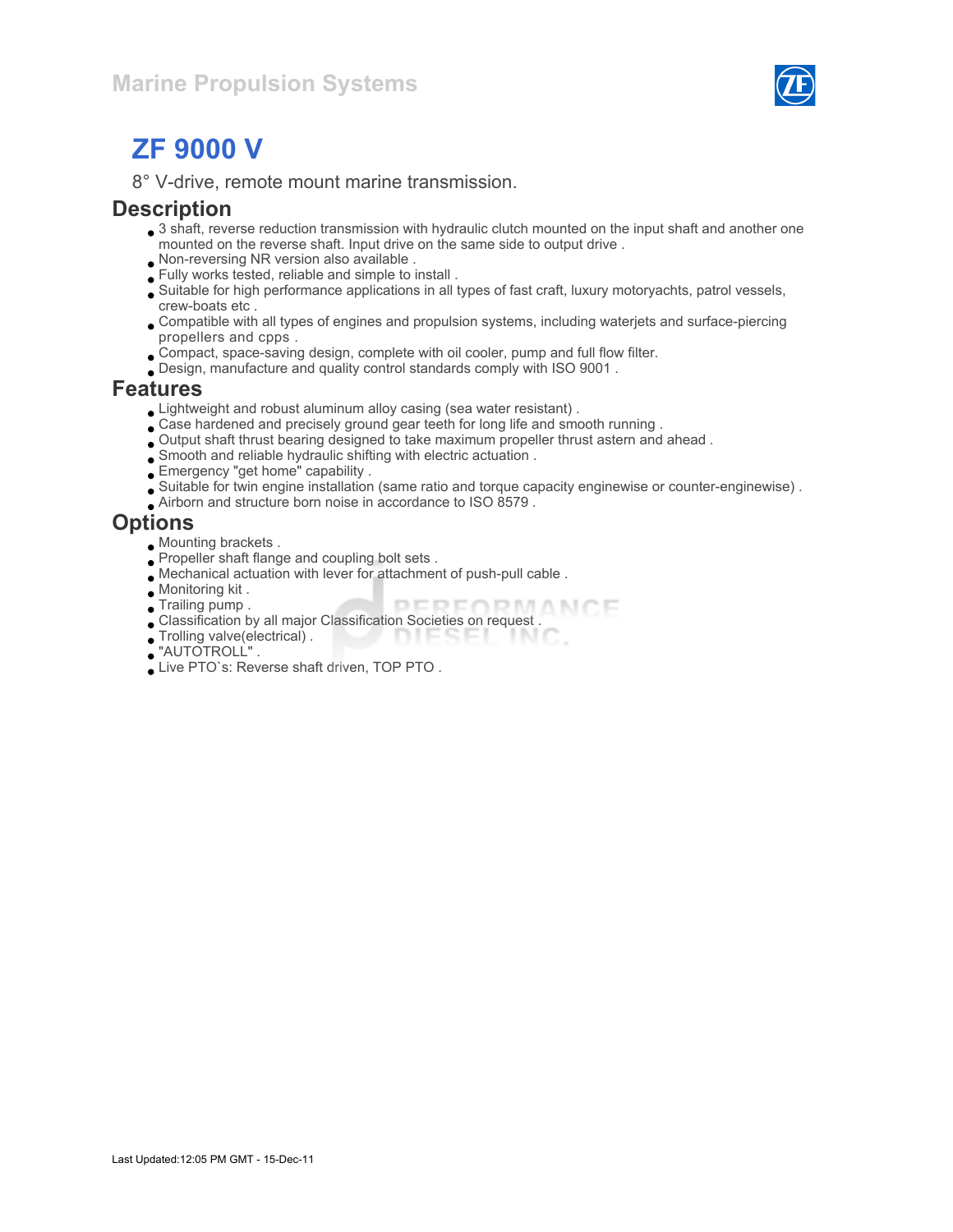

# ZF 9000 V

8° V-drive, remote mount marine transmission.

#### **Description**

- 3 shaft, reverse reduction transmission with hydraulic clutch mounted on the input shaft and another one mounted on the reverse shaft. Input drive on the same side to output drive .
- Non-reversing NR version also available .
- Fully works tested, reliable and simple to install .
- Suitable for high performance applications in all types of fast craft, luxury motoryachts, patrol vessels, crew-boats etc .
- Compatible with all types of engines and propulsion systems, including waterjets and surface-piercing propellers and cpps .
- Compact, space-saving design, complete with oil cooler, pump and full flow filter.
- Design, manufacture and quality control standards comply with ISO 9001 .

#### Features

- Lightweight and robust aluminum alloy casing (sea water resistant) .
- Case hardened and precisely ground gear teeth for long life and smooth running .
- Output shaft thrust bearing designed to take maximum propeller thrust astern and ahead .
- Smooth and reliable hydraulic shifting with electric actuation .
- Emergency "get home" capability .
- Suitable for twin engine installation (same ratio and torque capacity enginewise or counter-enginewise) .
- Airborn and structure born noise in accordance to ISO 8579 .

#### **Options**

- Mounting brackets .
- Propeller shaft flange and coupling bolt sets .
- Mechanical actuation with lever for attachment of push-pull cable .
- Monitoring kit .
- Trailing pump .
- Trailing pump .<br>Classification by all major Classification Societies on request .
- $\bullet$  Trolling valve(electrical). DIESEL TN 0
- "AUTOTROLL" .
- Live PTO`s: Reverse shaft driven, TOP PTO .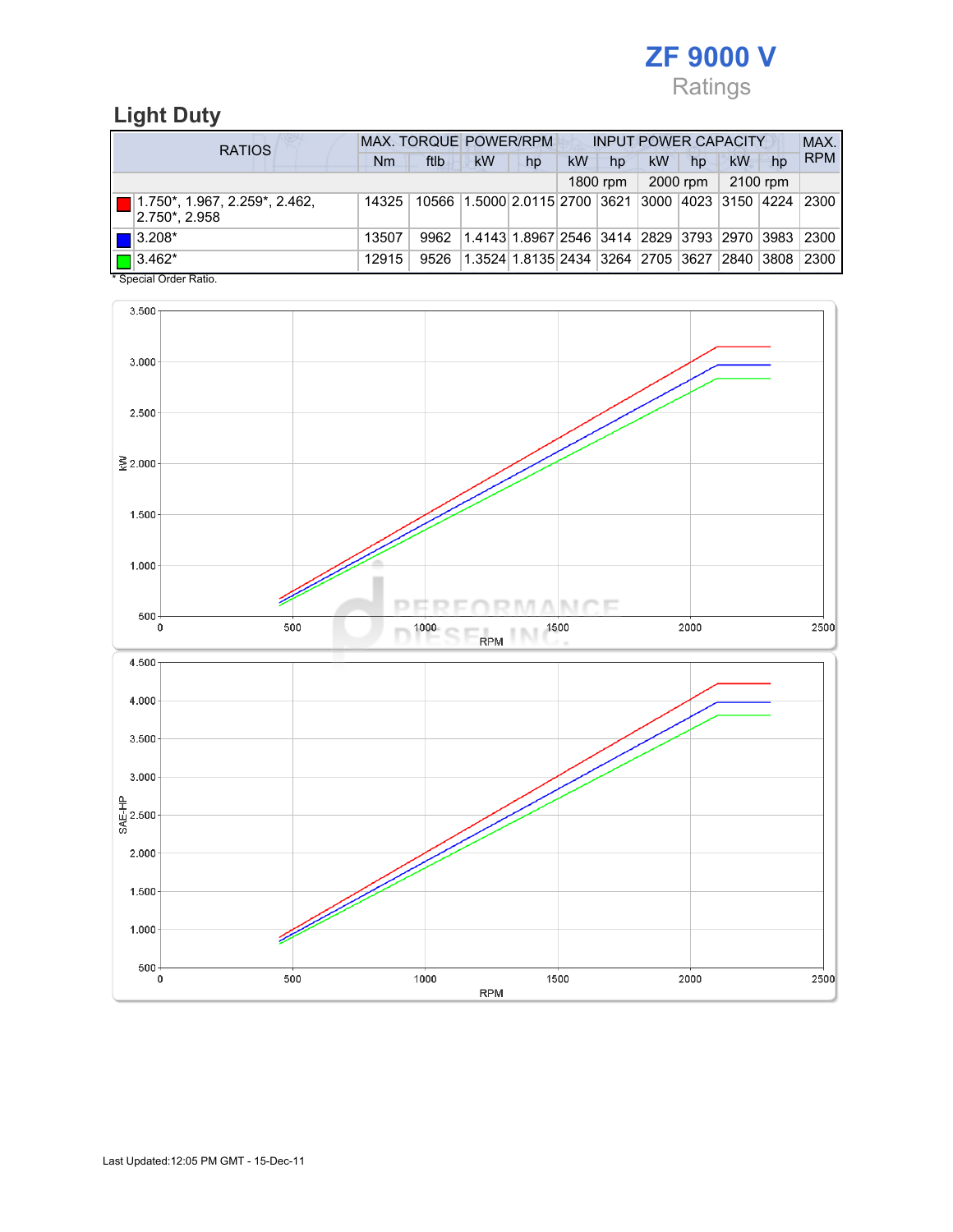

## Light Duty

| <b>RATIOS</b>                                                              | <b>MAX. TORQUE POWER/RPM</b> | <b>INPUT POWER CAPACITY</b> |                                                         |    |    |          |    | MAX.     |          |    |            |  |
|----------------------------------------------------------------------------|------------------------------|-----------------------------|---------------------------------------------------------|----|----|----------|----|----------|----------|----|------------|--|
|                                                                            | Nm                           | ftlb                        | <b>kW</b>                                               | hp | kW | hp       | kW | hp       | kW       | hp | <b>RPM</b> |  |
|                                                                            |                              |                             |                                                         |    |    | 1800 rpm |    | 2000 rpm | 2100 rpm |    |            |  |
| $\boxed{\blacksquare}$ 1.750*, 1.967, 2.259*, 2.462,<br>$ 2.750^* , 2.958$ | 14325                        |                             | 10566 1.5000 2.0115 2700 3621 3000 4023 3150 4224 2300  |    |    |          |    |          |          |    |            |  |
| $\blacksquare$ 3.208*                                                      | 13507                        | 9962                        | $ 1.4143 1.8967 2546 3414 2829 3793 2970 3983 2300$     |    |    |          |    |          |          |    |            |  |
| $\Box$ 3.462*<br>$\cdots$                                                  | 12915                        | 9526                        | 1.3524 1.8135 2434  3264  2705  3627  2840  3808   2300 |    |    |          |    |          |          |    |            |  |

\* Special Order Ratio.

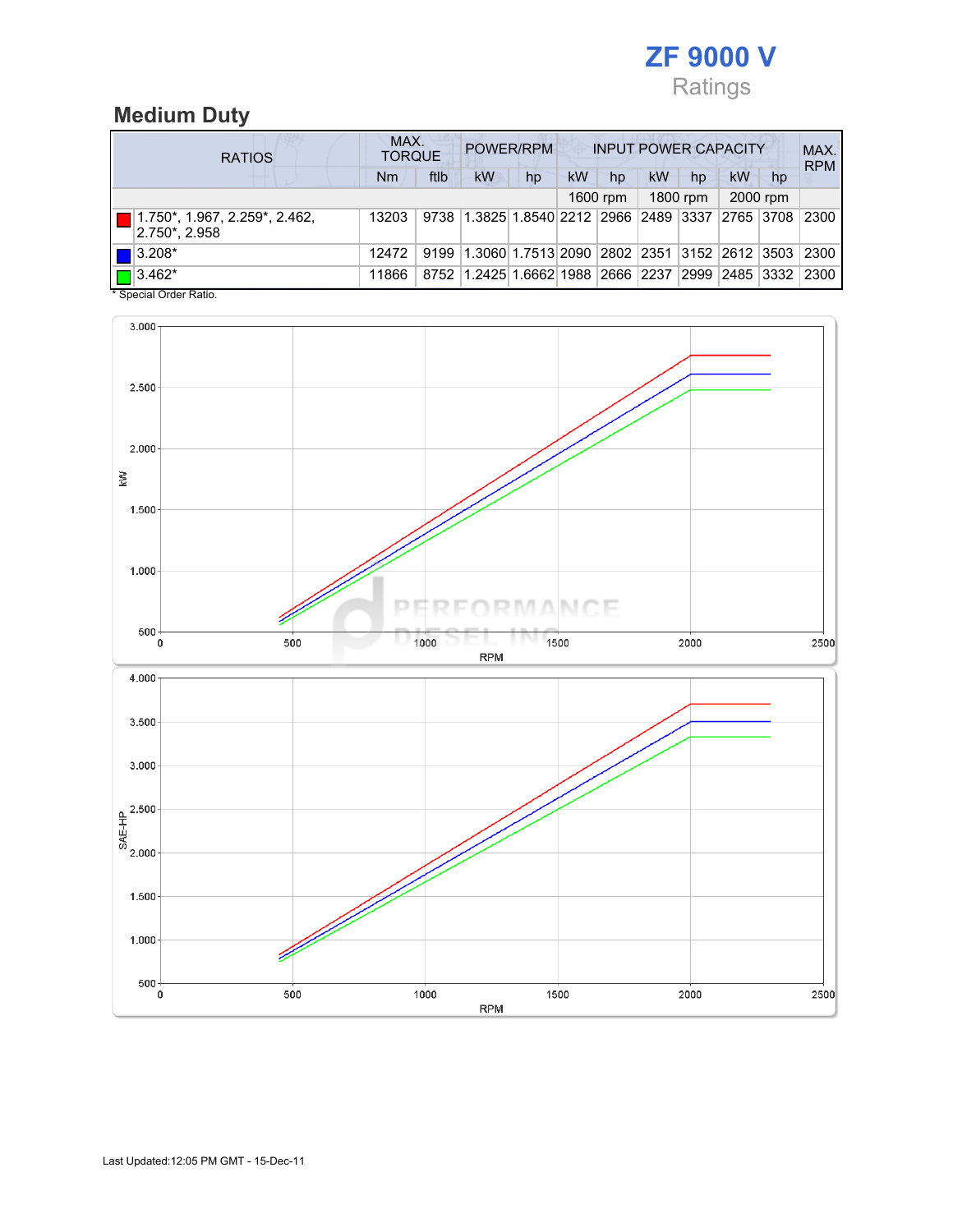

## Medium Duty

| <b>RATIOS</b>                                                     | MAX.<br><b>TORQUE</b> |      |                                                  | POWER/RPM |           |          |    |          | <b>INPUT POWER CAPACITY</b> |          | MAX.<br><b>RPM</b> |
|-------------------------------------------------------------------|-----------------------|------|--------------------------------------------------|-----------|-----------|----------|----|----------|-----------------------------|----------|--------------------|
|                                                                   | Nm                    | ftlb | <b>kW</b>                                        | hp        | <b>kW</b> | hp       | kW | hp       | kW                          | hp       |                    |
|                                                                   |                       |      |                                                  |           |           | 1600 rpm |    | 1800 rpm |                             | 2000 rpm |                    |
| $\blacksquare$ 1.750*, 1.967, 2.259*, 2.462,<br>$ 2.750^* 2.958 $ | 13203                 |      | 9738 1.3825 1.8540 2212 2966 2489 3337 2765 3708 |           |           |          |    |          |                             |          | 2300               |
| $\blacksquare$ 3.208*                                             | 12472                 | 9199 | 1.3060 1.7513 2090 2802 2351 3152 2612 3503 2300 |           |           |          |    |          |                             |          |                    |
| $\Box$ 3.462*                                                     | 11866                 |      | 8752 1.2425 1.6662 1988 2666 2237 2999 2485 3332 |           |           |          |    |          |                             |          | 2300               |

\* Special Order Ratio.

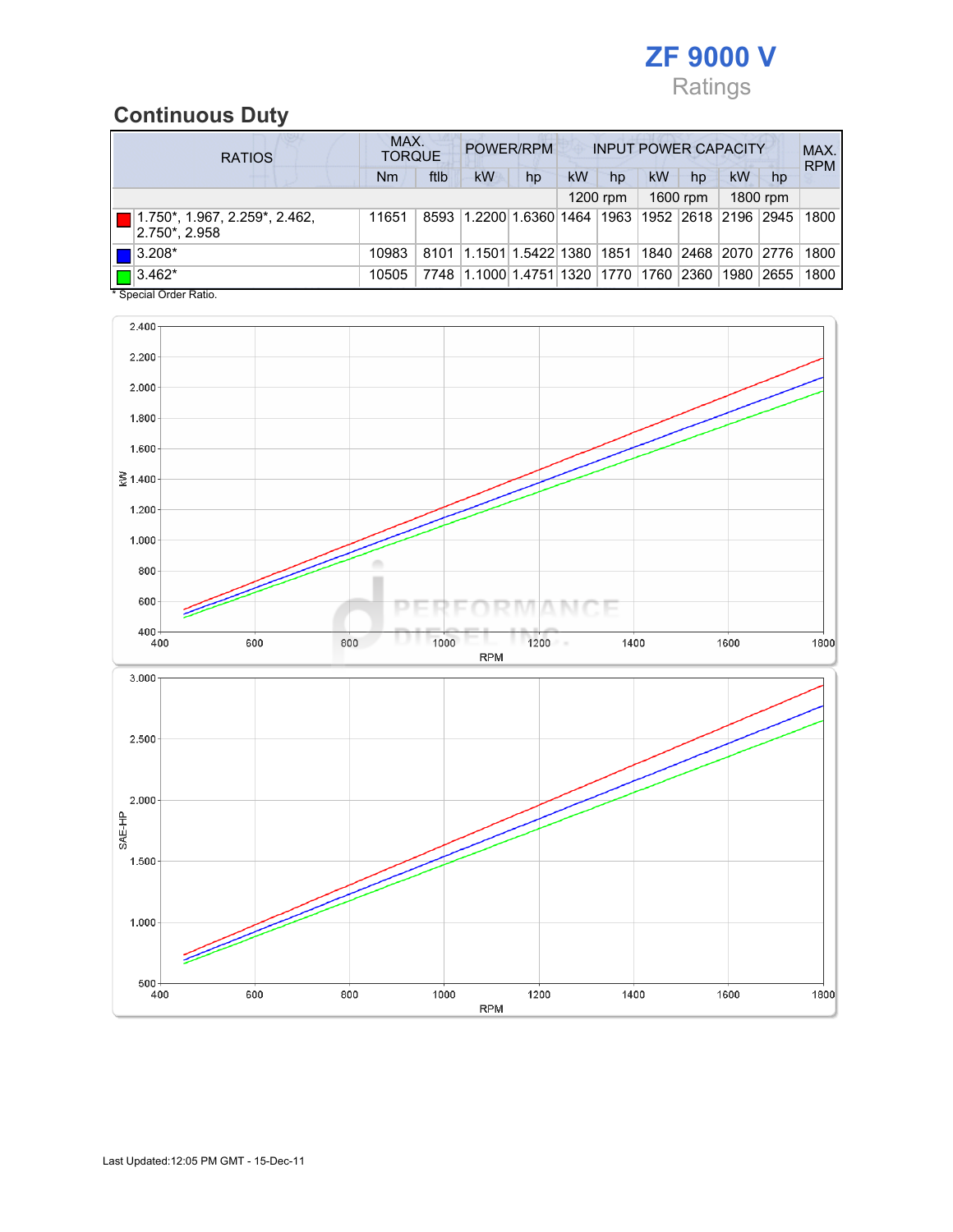

## Continuous Duty

| <b>RATIOS</b> |                                                                    | MAX.<br><b>TORQUE</b> |      |                                                  | POWER/RPM |    |            |    | <b>INPUT POWER CAPACITY</b> |      |          | MAX.<br><b>RPM</b> |
|---------------|--------------------------------------------------------------------|-----------------------|------|--------------------------------------------------|-----------|----|------------|----|-----------------------------|------|----------|--------------------|
|               |                                                                    | <b>Nm</b>             | ftlb | kW                                               | hp        | kW | hp         | kW | hp                          | kW   | hp       |                    |
|               |                                                                    |                       |      |                                                  |           |    | $1200$ rpm |    | 1600 rpm                    |      | 1800 rpm |                    |
|               | $\blacksquare$ 1.750*, 1.967, 2.259*, 2.462,<br>$ 2.750^* , 2.958$ | 11651                 |      | 8593 1.2200 1.6360 1464 1963 1952 2618 2196 2945 |           |    |            |    |                             |      |          | 1800               |
|               | $\blacksquare$ 3.208*                                              | 10983                 | 8101 | 1.1501 1.5422 1380  1851                         |           |    |            |    | 1840   2468   2070   2776   |      |          | 1800               |
|               | $\Box$ 3.462*                                                      | 10505                 | 7748 | 1.1000 1.4751 1320  1770  1760  2360             |           |    |            |    |                             | 1980 | 2655     | 1800               |

\* Special Order Ratio.

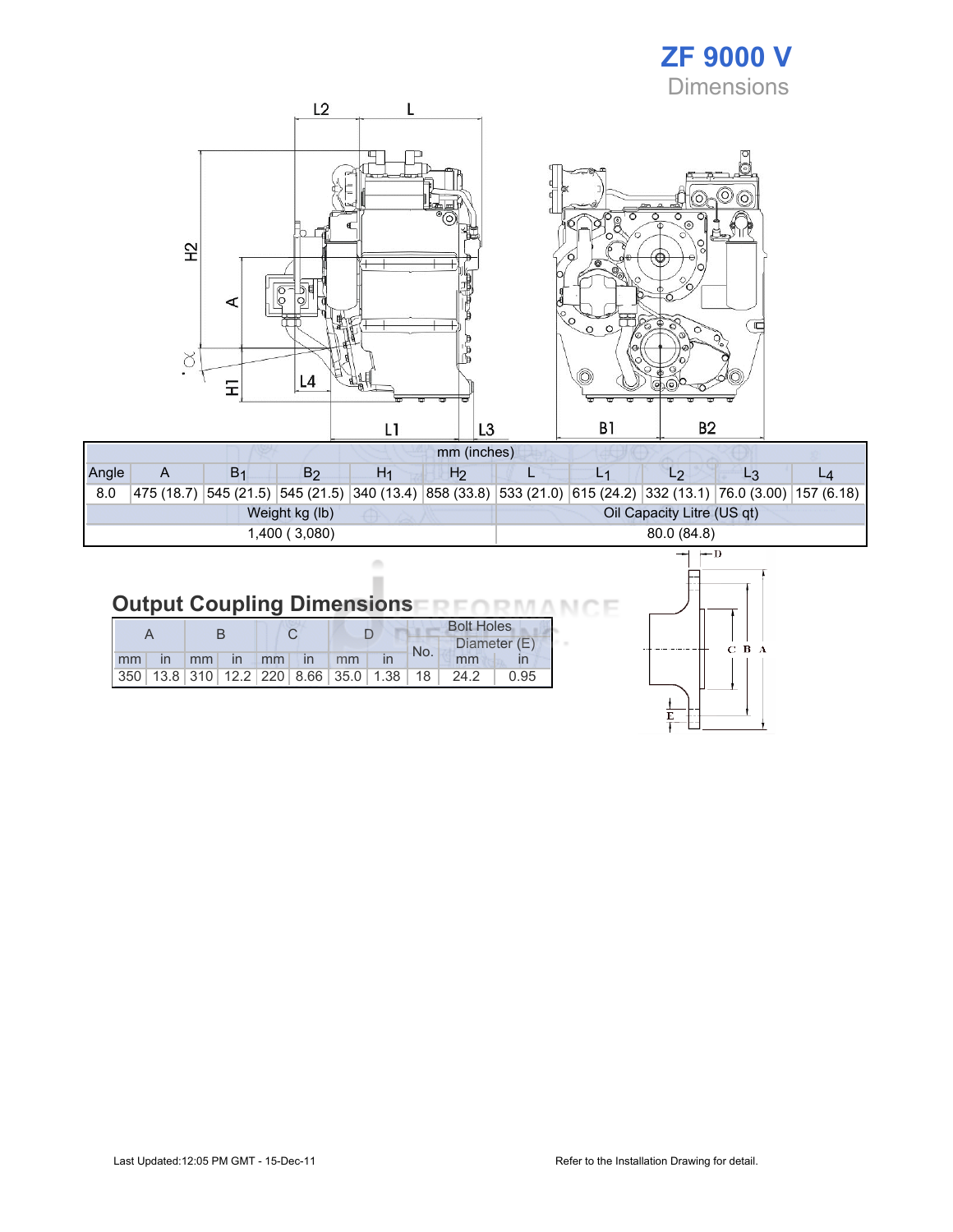## ZF 9000 V **Dimensions**



| Angle          |  | Β٠ | B2 |  | H2 |  |                            |             |                                                                                                                    |  |  |  |
|----------------|--|----|----|--|----|--|----------------------------|-------------|--------------------------------------------------------------------------------------------------------------------|--|--|--|
| 8.0            |  |    |    |  |    |  |                            |             | 475 (18.7) 545 (21.5) 545 (21.5) 340 (13.4) 858 (33.8) 533 (21.0) 615 (24.2) 332 (13.1) 76.0 (3.00) 157 (6.18) 532 |  |  |  |
| Weight kg (lb) |  |    |    |  |    |  | Oil Capacity Litre (US qt) |             |                                                                                                                    |  |  |  |
| 1,400 (3,080)  |  |    |    |  |    |  |                            | 80.0 (84.8) |                                                                                                                    |  |  |  |

#### **Output Coupling Dimensions** ìΕ **NO BA** л

ò ×

|    |       |       |  |                   |  |                                                         | <b>Bolt Holes</b> |      |              |  |
|----|-------|-------|--|-------------------|--|---------------------------------------------------------|-------------------|------|--------------|--|
|    |       |       |  |                   |  |                                                         | No.               |      | Diameter (E) |  |
| mm | in mm | in mm |  | $\ln$ $\text{mm}$ |  |                                                         |                   | mm   |              |  |
|    |       |       |  |                   |  | 350   13.8   310   12.2   220   8.66   35.0   1.38   18 |                   | 24.2 | 0.95         |  |